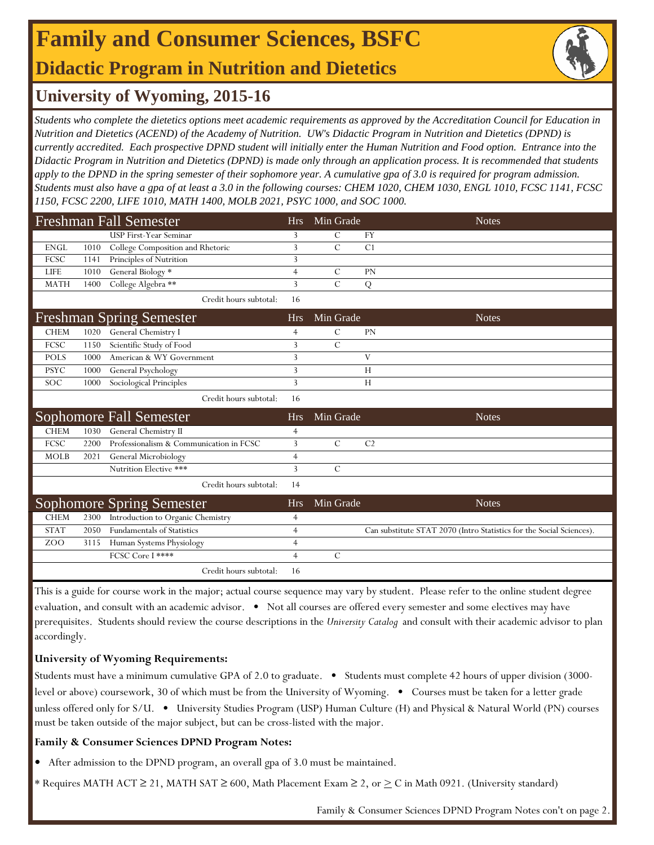## **Family and Consumer Sciences, BSFC Didactic Program in Nutrition and Dietetics**



### **University of Wyoming, 2015-16**

*Students who complete the dietetics options meet academic requirements as approved by the Accreditation Council for Education in Nutrition and Dietetics (ACEND) of the Academy of Nutrition. UW's Didactic Program in Nutrition and Dietetics (DPND) is currently accredited. Each prospective DPND student will initially enter the Human Nutrition and Food option. Entrance into the Didactic Program in Nutrition and Dietetics (DPND) is made only through an application process. It is recommended that students apply to the DPND in the spring semester of their sophomore year. A cumulative gpa of 3.0 is required for program admission. Students must also have a gpa of at least a 3.0 in the following courses: CHEM 1020, CHEM 1030, ENGL 1010, FCSC 1141, FCSC 1150, FCSC 2200, LIFE 1010, MATH 1400, MOLB 2021, PSYC 1000, and SOC 1000.* 

|             |      | <b>Freshman Fall Semester</b>           | <b>Hrs</b>     | Min Grade      |                | <b>Notes</b>                                                         |
|-------------|------|-----------------------------------------|----------------|----------------|----------------|----------------------------------------------------------------------|
|             |      | <b>USP First-Year Seminar</b>           | 3              | $\mathcal{C}$  | <b>FY</b>      |                                                                      |
| <b>ENGL</b> | 1010 | College Composition and Rhetoric        | 3              | $\overline{C}$ | C1             |                                                                      |
| FCSC        | 1141 | Principles of Nutrition                 | 3              |                |                |                                                                      |
| <b>LIFE</b> | 1010 | General Biology *                       | $\overline{4}$ | C              | <b>PN</b>      |                                                                      |
| <b>MATH</b> | 1400 | College Algebra **                      | 3              | $\mathcal{C}$  | Q              |                                                                      |
|             |      | Credit hours subtotal:                  | 16             |                |                |                                                                      |
|             |      | <b>Freshman Spring Semester</b>         | <b>Hrs</b>     | Min Grade      |                | <b>Notes</b>                                                         |
| <b>CHEM</b> | 1020 | General Chemistry I                     | $\overline{4}$ | $\mathcal{C}$  | PN             |                                                                      |
| FCSC        | 1150 | Scientific Study of Food                | 3              | $\overline{C}$ |                |                                                                      |
| <b>POLS</b> | 1000 | American & WY Government                | 3              |                | V              |                                                                      |
| <b>PSYC</b> | 1000 | General Psychology                      | 3              |                | H              |                                                                      |
| <b>SOC</b>  | 1000 | Sociological Principles                 | 3              |                | H              |                                                                      |
|             |      | Credit hours subtotal:                  | 16             |                |                |                                                                      |
|             |      | Sophomore Fall Semester                 | Hrs            | Min Grade      |                | <b>Notes</b>                                                         |
| <b>CHEM</b> | 1030 | General Chemistry II                    | $\overline{4}$ |                |                |                                                                      |
| FCSC        | 2200 | Professionalism & Communication in FCSC | 3              | $\mathcal{C}$  | C <sub>2</sub> |                                                                      |
| <b>MOLB</b> | 2021 | General Microbiology                    | $\overline{4}$ |                |                |                                                                      |
|             |      | Nutrition Elective ***                  | $\overline{3}$ | $\mathcal{C}$  |                |                                                                      |
|             |      | Credit hours subtotal:                  | 14             |                |                |                                                                      |
|             |      | <b>Sophomore Spring Semester</b>        | <b>Hrs</b>     | Min Grade      |                | <b>Notes</b>                                                         |
| <b>CHEM</b> | 2300 | Introduction to Organic Chemistry       | 4              |                |                |                                                                      |
| <b>STAT</b> | 2050 | Fundamentals of Statistics              | $\overline{4}$ |                |                | Can substitute STAT 2070 (Intro Statistics for the Social Sciences). |
| ZOO         | 3115 | Human Systems Physiology                | $\overline{4}$ |                |                |                                                                      |
|             |      | FCSC Core I ****                        | $\overline{4}$ | $\mathcal{C}$  |                |                                                                      |
|             |      | Credit hours subtotal:                  | 16             |                |                |                                                                      |

This is a guide for course work in the major; actual course sequence may vary by student. Please refer to the online student degree evaluation, and consult with an academic advisor. • Not all courses are offered every semester and some electives may have prerequisites. Students should review the course descriptions in the *University Catalog* and consult with their academic advisor to plan accordingly.

### **University of Wyoming Requirements:**

Students must have a minimum cumulative GPA of 2.0 to graduate. • Students must complete 42 hours of upper division (3000 level or above) coursework, 30 of which must be from the University of Wyoming. • Courses must be taken for a letter grade unless offered only for S/U. • University Studies Program (USP) Human Culture (H) and Physical & Natural World (PN) courses must be taken outside of the major subject, but can be cross-listed with the major.

#### **Family & Consumer Sciences DPND Program Notes:**

- **•** After admission to the DPND program, an overall gpa of 3.0 must be maintained.
- \* Requires MATH ACT ≥ 21, MATH SAT ≥ 600, Math Placement Exam ≥ 2, or  $\geq C$  in Math 0921. (University standard)

Family & Consumer Sciences DPND Program Notes con't on page 2.